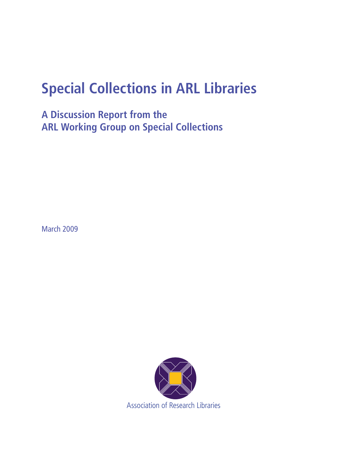# **Special Collections in ARL Libraries**

**A Discussion Report from the ARL Working Group on Special Collections**

March 2009

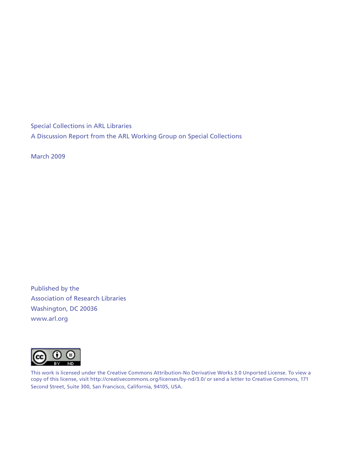Special Collections in ARL Libraries A Discussion Report from the ARL Working Group on Special Collections

March 2009

Published by the Association of Research Libraries Washington, DC 20036 www.arl.org



This work is licensed under the Creative Commons Attribution-No Derivative Works 3.0 Unported License. To view a copy of this license, visit http://creativecommons.org/licenses/by-nd/3.0/ or send a letter to Creative Commons, 171 Second Street, Suite 300, San Francisco, California, 94105, USA.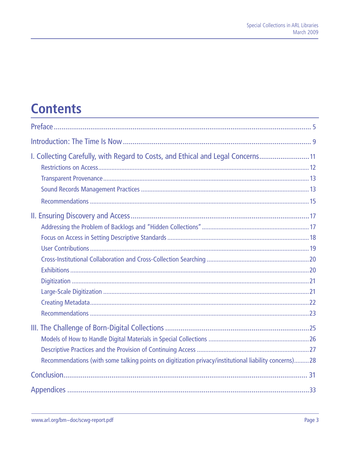# **Contents**

| I. Collecting Carefully, with Regard to Costs, and Ethical and Legal Concerns 11                      |
|-------------------------------------------------------------------------------------------------------|
|                                                                                                       |
| Recommendations (with some talking points on digitization privacy/institutional liability concerns)28 |
|                                                                                                       |
|                                                                                                       |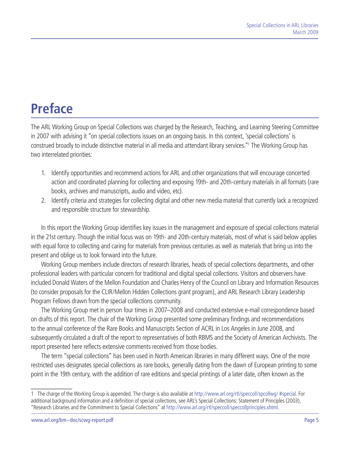# <span id="page-4-0"></span>**Preface**

The ARL Working Group on Special Collections was charged by the Research, Teaching, and Learning Steering Committee in 2007 with advising it "on special collections issues on an ongoing basis. In this context, 'special collections' is construed broadly to include distinctive material in all media and attendant library services."1 The Working Group has two interrelated priorities:

- 1. Identify opportunities and recommend actions for ARL and other organizations that will encourage concerted action and coordinated planning for collecting and exposing 19th- and 20th-century materials in all formats (rare books, archives and manuscripts, audio and video, etc).
- 2. Identify criteria and strategies for collecting digital and other new media material that currently lack a recognized and responsible structure for stewardship.

In this report the Working Group identifies key issues in the management and exposure of special collections material in the 21st century. Though the initial focus was on 19th- and 20th-century materials, most of what is said below applies with equal force to collecting and caring for materials from previous centuries as well as materials that bring us into the present and oblige us to look forward into the future.

Working Group members include directors of research libraries, heads of special collections departments, and other professional leaders with particular concern for traditional and digital special collections. Visitors and observers have included Donald Waters of the Mellon Foundation and Charles Henry of the Council on Library and Information Resources (to consider proposals for the CLIR/Mellon Hidden Collections grant program), and ARL Research Library Leadership Program Fellows drawn from the special collections community.

The Working Group met in person four times in 2007–2008 and conducted extensive e-mail correspondence based on drafts of this report. The chair of the Working Group presented some preliminary findings and recommendations to the annual conference of the Rare Books and Manuscripts Section of ACRL in Los Angeles in June 2008, and subsequently circulated a draft of the report to representatives of both RBMS and the Society of American Archivists. The report presented here reflects extensive comments received from those bodies.

The term "special collections" has been used in North American libraries in many different ways. One of the more restricted uses designates special collections as rare books, generally dating from the dawn of European printing to some point in the 19th century, with the addition of rare editions and special printings of a later date, often known as the

<sup>1</sup> The charge of the Working Group is appended. The charge is also available at [http://www.arl.org/rtl/speccoll/spcollwg/ #special.](http://www.arl.org/rtl/speccoll/spcollwg/ #special) For additional background information and a definition of special collections, see ARL's Special Collections: Statement of Principles (2003), "Research Libraries and the Commitment to Special Collections" at http:/[/www.arl.org/rtl/speccoll/speccollprinciples.shtml](http://www.arl.org/rtl/speccoll/speccollprinciples.shtml).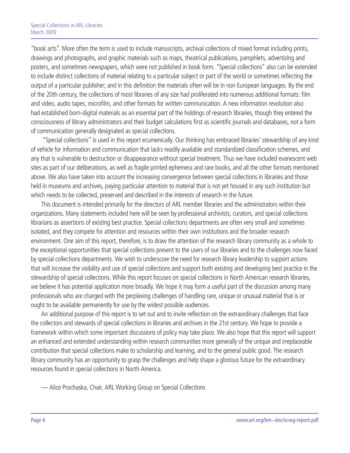"book arts". More often the term is used to include manuscripts, archival collections of mixed format including prints, drawings and photographs, and graphic materials such as maps, theatrical publications, pamphlets, advertizing and posters, and sometimes newspapers, which were not published in book form. "Special collections" also can be extended to include distinct collections of material relating to a particular subject or part of the world or sometimes reflecting the output of a particular publisher; and in this definition the materials often will be in non European languages. By the end of the 20th century, the collections of most libraries of any size had proliferated into numerous additional formats: film and video, audio tapes, microfilm, and other formats for written communication. A new information revolution also had established born-digital materials as an essential part of the holdings of research libraries, though they entered the consciousness of library administrators and their budget calculations first as scientific journals and databases, not a form of communication generally designated as special collections.

 "Special collections" is used in this report ecumenically. Our thinking has embraced libraries' stewardship of any kind of vehicle for information and communication that lacks readily available and standardized classification schemes, and any that is vulnerable to destruction or disappearance without special treatment. Thus we have included evanescent web sites as part of our deliberations, as well as fragile printed ephemera and rare books, and all the other formats mentioned above. We also have taken into account the increasing convergence between special collections in libraries and those held in museums and archives, paying particular attention to material that is not yet housed in any such institution but which needs to be collected, preserved and described in the interests of research in the future.

This document is intended primarily for the directors of ARL member libraries and the administrators within their organizations. Many statements included here will be seen by professional archivists, curators, and special collections librarians as assertions of existing best practice. Special collections departments are often very small and sometimes isolated, and they compete for attention and resources within their own institutions and the broader research environment. One aim of this report, therefore, is to draw the attention of the research library community as a whole to the exceptional opportunities that special collections present to the users of our libraries and to the challenges now faced by special collections departments. We wish to underscore the need for research library leadership to support actions that will increase the visibility and use of special collections and support both existing and developing best practice in the stewardship of special collections. While this report focuses on special collections in North American research libraries, we believe it has potential application more broadly. We hope it may form a useful part of the discussion among many professionals who are charged with the perplexing challenges of handling rare, unique or unusual material that is or ought to be available permanently for use by the widest possible audiences.

An additional purpose of this report is to set out and to invite reflection on the extraordinary challenges that face the collectors and stewards of special collections in libraries and archives in the 21st century. We hope to provide a framework within which some important discussions of policy may take place. We also hope that this report will support an enhanced and extended understanding within research communities more generally of the unique and irreplaceable contribution that special collections make to scholarship and learning, and to the general public good. The research library community has an opportunity to grasp the challenges and help shape a glorious future for the extraordinary resources found in special collections in North America.

— Alice Prochaska, Chair, ARL Working Group on Special Collections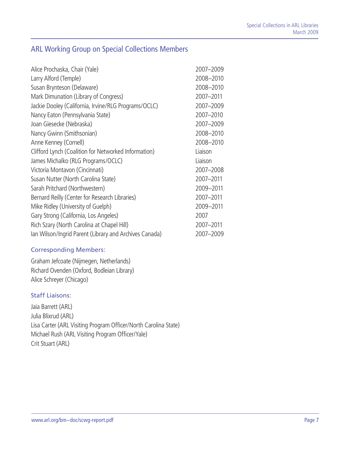# ARL Working Group on Special Collections Members

| Alice Prochaska, Chair (Yale)                          | 2007-2009 |
|--------------------------------------------------------|-----------|
| Larry Alford (Temple)                                  | 2008-2010 |
| Susan Brynteson (Delaware)                             | 2008-2010 |
| Mark Dimunation (Library of Congress)                  | 2007-2011 |
| Jackie Dooley (California, Irvine/RLG Programs/OCLC)   | 2007-2009 |
| Nancy Eaton (Pennsylvania State)                       | 2007-2010 |
| Joan Giesecke (Nebraska)                               | 2007-2009 |
| Nancy Gwinn (Smithsonian)                              | 2008-2010 |
| Anne Kenney (Cornell)                                  | 2008-2010 |
| Clifford Lynch (Coalition for Networked Information)   | Liaison   |
| James Michalko (RLG Programs/OCLC)                     | Liaison   |
| Victoria Montavon (Cincinnati)                         | 2007-2008 |
| Susan Nutter (North Carolina State)                    | 2007-2011 |
| Sarah Pritchard (Northwestern)                         | 2009-2011 |
| Bernard Reilly (Center for Research Libraries)         | 2007-2011 |
| Mike Ridley (University of Guelph)                     | 2009-2011 |
| Gary Strong (California, Los Angeles)                  | 2007      |
| Rich Szary (North Carolina at Chapel Hill)             | 2007-2011 |
| Ian Wilson/Ingrid Parent (Library and Archives Canada) | 2007-2009 |

#### Corresponding Members:

Graham Jefcoate (Nijmegen, Netherlands) Richard Ovenden (Oxford, Bodleian Library) Alice Schreyer (Chicago)

#### Staff Liaisons:

Jaia Barrett (ARL) Julia Blixrud (ARL) Lisa Carter (ARL Visiting Program Officer/North Carolina State) Michael Rush (ARL Visiting Program Officer/Yale) Crit Stuart (ARL)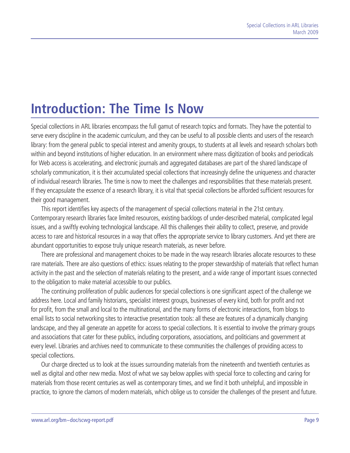# <span id="page-8-0"></span>**Introduction: The Time Is Now**

Special collections in ARL libraries encompass the full gamut of research topics and formats. They have the potential to serve every discipline in the academic curriculum, and they can be useful to all possible clients and users of the research library: from the general public to special interest and amenity groups, to students at all levels and research scholars both within and beyond institutions of higher education. In an environment where mass digitization of books and periodicals for Web access is accelerating, and electronic journals and aggregated databases are part of the shared landscape of scholarly communication, it is their accumulated special collections that increasingly define the uniqueness and character of individual research libraries. The time is now to meet the challenges and responsibilities that these materials present. If they encapsulate the essence of a research library, it is vital that special collections be afforded sufficient resources for their good management.

This report identifies key aspects of the management of special collections material in the 21st century. Contemporary research libraries face limited resources, existing backlogs of under-described material, complicated legal issues, and a swiftly evolving technological landscape. All this challenges their ability to collect, preserve, and provide access to rare and historical resources in a way that offers the appropriate service to library customers. And yet there are abundant opportunities to expose truly unique research materials, as never before.

There are professional and management choices to be made in the way research libraries allocate resources to these rare materials. There are also questions of ethics: issues relating to the proper stewardship of materials that reflect human activity in the past and the selection of materials relating to the present, and a wide range of important issues connected to the obligation to make material accessible to our publics.

The continuing proliferation of public audiences for special collections is one significant aspect of the challenge we address here. Local and family historians, specialist interest groups, businesses of every kind, both for profit and not for profit, from the small and local to the multinational, and the many forms of electronic interactions, from blogs to email lists to social networking sites to interactive presentation tools: all these are features of a dynamically changing landscape, and they all generate an appetite for access to special collections. It is essential to involve the primary groups and associations that cater for these publics, including corporations, associations, and politicians and government at every level. Libraries and archives need to communicate to these communities the challenges of providing access to special collections.

Our charge directed us to look at the issues surrounding materials from the nineteenth and twentieth centuries as well as digital and other new media. Most of what we say below applies with special force to collecting and caring for materials from those recent centuries as well as contemporary times, and we find it both unhelpful, and impossible in practice, to ignore the clamors of modern materials, which oblige us to consider the challenges of the present and future.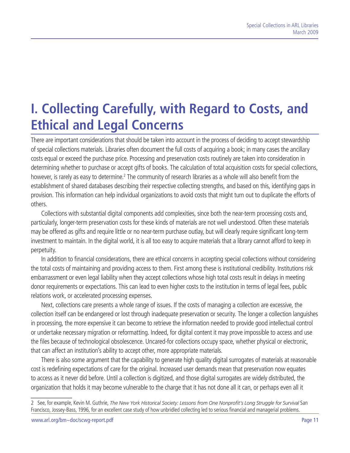# <span id="page-10-0"></span>**I. Collecting Carefully, with Regard to Costs, and Ethical and Legal Concerns**

There are important considerations that should be taken into account in the process of deciding to accept stewardship of special collections materials. Libraries often document the full costs of acquiring a book; in many cases the ancillary costs equal or exceed the purchase price. Processing and preservation costs routinely are taken into consideration in determining whether to purchase or accept gifts of books. The calculation of total acquisition costs for special collections, however, is rarely as easy to determine.<sup>2</sup> The community of research libraries as a whole will also benefit from the establishment of shared databases describing their respective collecting strengths, and based on this, identifying gaps in provision. This information can help individual organizations to avoid costs that might turn out to duplicate the efforts of others.

Collections with substantial digital components add complexities, since both the near-term processing costs and, particularly, longer-term preservation costs for these kinds of materials are not well understood. Often these materials may be offered as gifts and require little or no near-term purchase outlay, but will clearly require significant long-term investment to maintain. In the digital world, it is all too easy to acquire materials that a library cannot afford to keep in perpetuity.

In addition to financial considerations, there are ethical concerns in accepting special collections without considering the total costs of maintaining and providing access to them. First among these is institutional credibility. Institutions risk embarrassment or even legal liability when they accept collections whose high total costs result in delays in meeting donor requirements or expectations. This can lead to even higher costs to the institution in terms of legal fees, public relations work, or accelerated processing expenses.

Next, collections care presents a whole range of issues. If the costs of managing a collection are excessive, the collection itself can be endangered or lost through inadequate preservation or security. The longer a collection languishes in processing, the more expensive it can become to retrieve the information needed to provide good intellectual control or undertake necessary migration or reformatting. Indeed, for digital content it may prove impossible to access and use the files because of technological obsolescence. Uncared-for collections occupy space, whether physical or electronic, that can affect an institution's ability to accept other, more appropriate materials.

There is also some argument that the capability to generate high quality digital surrogates of materials at reasonable cost is redefining expectations of care for the original. Increased user demands mean that preservation now equates to access as it never did before. Until a collection is digitized, and those digital surrogates are widely distributed, the organization that holds it may become vulnerable to the charge that it has not done all it can, or perhaps even all it

<sup>2</sup> See, for example, Kevin M. Guthrie, *The New York Historical Society: Lessons from One Nonprofit's Long Struggle for Survival* San Francisco, Jossey-Bass, 1996, for an excellent case study of how unbridled collecting led to serious financial and managerial problems.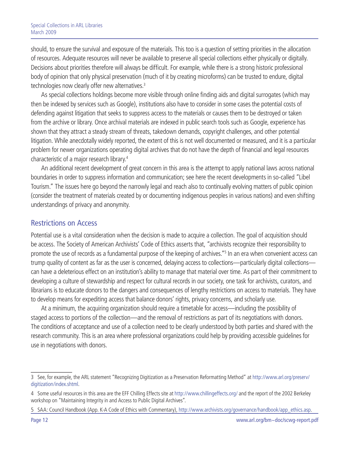<span id="page-11-0"></span>should, to ensure the survival and exposure of the materials. This too is a question of setting priorities in the allocation of resources. Adequate resources will never be available to preserve all special collections either physically or digitally. Decisions about priorities therefore will always be difficult. For example, while there is a strong historic professional body of opinion that only physical preservation (much of it by creating microforms) can be trusted to endure, digital technologies now clearly offer new alternatives.<sup>3</sup>

As special collections holdings become more visible through online finding aids and digital surrogates (which may then be indexed by services such as Google), institutions also have to consider in some cases the potential costs of defending against litigation that seeks to suppress access to the materials or causes them to be destroyed or taken from the archive or library. Once archival materials are indexed in public search tools such as Google, experience has shown that they attract a steady stream of threats, takedown demands, copyright challenges, and other potential litigation. While anecdotally widely reported, the extent of this is not well documented or measured, and it is a particular problem for newer organizations operating digital archives that do not have the depth of financial and legal resources characteristic of a major research library.4

An additional recent development of great concern in this area is the attempt to apply national laws across national boundaries in order to suppress information and communication; see here the recent developments in so-called "Libel Tourism." The issues here go beyond the narrowly legal and reach also to continually evolving matters of public opinion (consider the treatment of materials created by or documenting indigenous peoples in various nations) and even shifting understandings of privacy and anonymity.

### Restrictions on Access

Potential use is a vital consideration when the decision is made to acquire a collection. The goal of acquisition should be access. The Society of American Archivists' Code of Ethics asserts that, "archivists recognize their responsibility to promote the use of records as a fundamental purpose of the keeping of archives."<sup>5</sup> In an era when convenient access can trump quality of content as far as the user is concerned, delaying access to collections—particularly digital collections can have a deleterious effect on an institution's ability to manage that material over time. As part of their commitment to developing a culture of stewardship and respect for cultural records in our society, one task for archivists, curators, and librarians is to educate donors to the dangers and consequences of lengthy restrictions on access to materials. They have to develop means for expediting access that balance donors' rights, privacy concerns, and scholarly use.

At a minimum, the acquiring organization should require a timetable for access—including the possibility of staged access to portions of the collection—and the removal of restrictions as part of its negotiations with donors. The conditions of acceptance and use of a collection need to be clearly understood by both parties and shared with the research community. This is an area where professional organizations could help by providing accessible guidelines for use in negotiations with donors.

<sup>3</sup> See, for example, the ARL statement "Recognizing Digitization as a Preservation Reformatting Method" at http://[www.arl.org/preserv/](http://www.arl.org/preserv/digitization/index.shtml) [digitization/index.shtml.](http://www.arl.org/preserv/digitization/index.shtml)

<sup>4</sup> Some useful resources in this area are the EFF Chilling Effects site at http://[www.chillingeffects.org/](http://www.chillingeffects.org/) and the report of the 2002 Berkeley workshop on "Maintaining Integrity in and Access to Public Digital Archives".

<sup>5</sup> SAA: Council Handbook (App. K-A Code of Ethics with Commentary), http://[www.archivists.org/governance/handbook/app\\_ethics.asp.](http://www.archivists.org/governance/handbook/app_ethics.asp)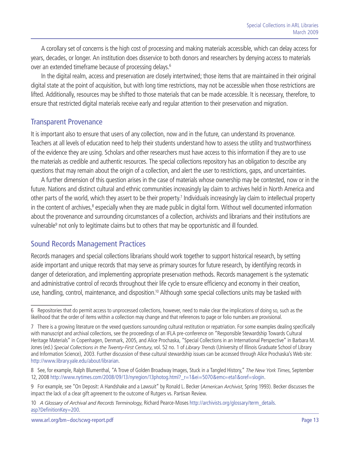<span id="page-12-0"></span>A corollary set of concerns is the high cost of processing and making materials accessible, which can delay access for years, decades, or longer. An institution does disservice to both donors and researchers by denying access to materials over an extended timeframe because of processing delays.6

In the digital realm, access and preservation are closely intertwined; those items that are maintained in their original digital state at the point of acquisition, but with long time restrictions, may not be accessible when those restrictions are lifted. Additionally, resources may be shifted to those materials that can be made accessible. It is necessary, therefore, to ensure that restricted digital materials receive early and regular attention to their preservation and migration.

### Transparent Provenance

It is important also to ensure that users of any collection, now and in the future, can understand its provenance. Teachers at all levels of education need to help their students understand how to assess the utility and trustworthiness of the evidence they are using. Scholars and other researchers must have access to this information if they are to use the materials as credible and authentic resources. The special collections repository has an obligation to describe any questions that may remain about the origin of a collection, and alert the user to restrictions, gaps, and uncertainties.

A further dimension of this question arises in the case of materials whose ownership may be contested, now or in the future. Nations and distinct cultural and ethnic communities increasingly lay claim to archives held in North America and other parts of the world, which they assert to be their property.<sup>7</sup> Individuals increasingly lay claim to intellectual property in the content of archives,<sup>8</sup> especially when they are made public in digital form. Without well documented information about the provenance and surrounding circumstances of a collection, archivists and librarians and their institutions are vulnerable<sup>9</sup> not only to legitimate claims but to others that may be opportunistic and ill founded.

### Sound Records Management Practices

Records managers and special collections librarians should work together to support historical research, by setting aside important and unique records that may serve as primary sources for future research, by identifying records in danger of deterioration, and implementing appropriate preservation methods. Records management is the systematic and administrative control of records throughout their life cycle to ensure efficiency and economy in their creation, use, handling, control, maintenance, and disposition.10 Although some special collections units may be tasked with

<sup>6</sup> Repositories that do permit access to unprocessed collections, however, need to make clear the implications of doing so, such as the likelihood that the order of items within a collection may change and that references to page or folio numbers are provisional.

<sup>7</sup> There is a growing literature on the vexed questions surrounding cultural restitution or repatriation. For some examples dealing specifically with manuscript and archival collections, see the proceedings of an IFLA pre-conference on "Responsible Stewardship Towards Cultural Heritage Materials" in Copenhagen, Denmark, 2005, and Alice Prochaska, "Special Collections in an International Perspective" in Barbara M. Jones (ed.) *Special Collections in the Twenty-First Century*, vol. 52 no. 1 of *Library Trends* (University of Illinois Graduate School of Library and Information Science), 2003. Further discussion of these cultural stewardship issues can be accessed through Alice Prochaska's Web site: <http://www.library.yale.edu/about/librarian>.

<sup>8</sup> See, for example, Ralph Blumenthal, "A Trove of Golden Broadway Images, Stuck in a Tangled History," *The New York Times*, September 12, 2008 [http://www.nytimes.com/2008/09/13/nyregion/13photog.html?\\_r=1&ei=5070&emc=eta1&oref=slogin](http://www.nytimes.com/2008/09/13/nyregion/13photog.html?_r=1&ei=5070&emc=eta1&oref=slogin).

<sup>9</sup> For example, see "On Deposit: A Handshake and a Lawsuit" by Ronald L. Becker (*American Archivist*, Spring 1993). Becker discusses the impact the lack of a clear gift agreement to the outcome of Rutgers vs. Partisan Review.

<sup>10</sup> *A Glossary of Archival and Records Terminology*, Richard Pearce-Moses [http://archivists.org/glossary/term\\_details.](http://archivists.org/glossary/term_details.asp?DefinitionKey=200) [asp?DefinitionKey=200](http://archivists.org/glossary/term_details.asp?DefinitionKey=200).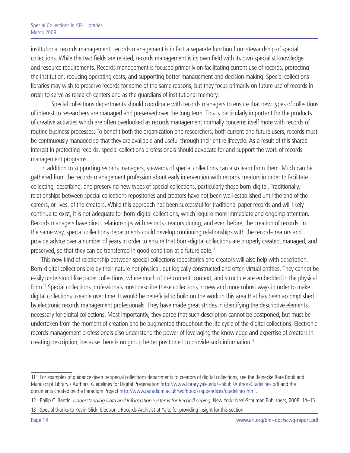institutional records management, records management is in fact a separate function from stewardship of special collections. While the two fields are related, records management is its own field with its own specialist knowledge and resource requirements. Records management is focused primarily on facilitating current use of records, protecting the institution, reducing operating costs, and supporting better management and decision making. Special collections libraries may wish to preserve records for some of the same reasons, but they focus primarily on future use of records in order to serve as research centers and as the guardians of institutional memory.

Special collections departments should coordinate with records managers to ensure that new types of collections of interest to researchers are managed and preserved over the long term. This is particularly important for the products of creative activities which are often overlooked as records management normally concerns itself more with records of routine business processes. To benefit both the organization and researchers, both current and future users, records must be continuously managed so that they are available and useful through their entire lifecycle. As a result of this shared interest in protecting records, special collections professionals should advocate for and support the work of records management programs.

In addition to supporting records managers, stewards of special collections can also learn from them. Much can be gathered from the records management profession about early intervention with records creators in order to facilitate collecting, describing, and preserving new types of special collections, particularly those born-digital. Traditionally, relationships between special collections repositories and creators have not been well established until the end of the careers, or lives, of the creators. While this approach has been successful for traditional paper records and will likely continue to exist, it is not adequate for born-digital collections, which require more immediate and ongoing attention. Records managers have direct relationships with records creators during, and even before, the creation of records. In the same way, special collections departments could develop continuing relationships with the record-creators and provide advice over a number of years in order to ensure that born-digital collections are properly created, managed, and preserved, so that they can be transferred in good condition at a future date.<sup>11</sup>

This new kind of relationship between special collections repositories and creators will also help with description. Born-digital collections are by their nature not physical, but logically constructed and often virtual entities. They cannot be easily understood like paper collections, where much of the content, context, and structure are embedded in the physical form.12 Special collections professionals must describe these collections in new and more robust ways in order to make digital collections useable over time. It would be beneficial to build on the work in this area that has been accomplished by electronic records management professionals. They have made great strides in identifying the descriptive elements necessary for digital collections. Most importantly, they agree that such description cannot be postponed, but must be undertaken from the moment of creation and be augmented throughout the life cycle of the digital collections. Electronic records management professionals also understand the power of leveraging the knowledge and expertise of creators in creating description, because there is no group better positioned to provide such information.13

<sup>11</sup> For examples of guidance given by special collections departments to creators of digital collections, see the Beinecke Rare Book and Manuscript Library's Authors' Guidelines for Digital Preservation<http://www.library.yale.edu/~nkuhl/AuthorsGuidelines.pdf>and the documents created by the Paradigm Project<http://www.paradigm.ac.uk/workbook/appendices/guidelines.html>.

<sup>12</sup> Philip C. Bantin, *Understanding Data and Information Systems for Recordkeeping*, New York: Neal-Schuman Publishers, 2008, 14–15.

<sup>13</sup> Special thanks to Kevin Glick, Electronic Records Archivist at Yale, for providing insight for this section.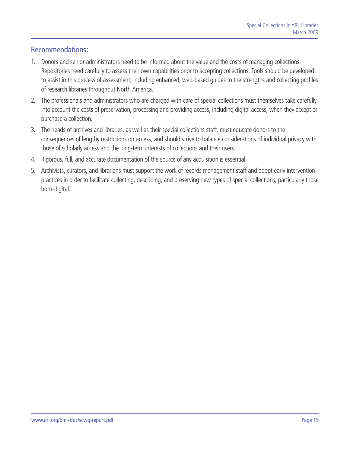## <span id="page-14-0"></span>Recommendations:

- 1. Donors and senior administrators need to be informed about the value and the costs of managing collections. Repositories need carefully to assess their own capabilities prior to accepting collections. Tools should be developed to assist in this process of assessment, including enhanced, web-based guides to the strengths and collecting profiles of research libraries throughout North America.
- 2. The professionals and administrators who are charged with care of special collections must themselves take carefully into account the costs of preservation, processing and providing access, including digital access, when they accept or purchase a collection.
- 3. The heads of archives and libraries, as well as their special collections staff, must educate donors to the consequences of lengthy restrictions on access, and should strive to balance considerations of individual privacy with those of scholarly access and the long-term interests of collections and their users.
- 4. Rigorous, full, and accurate documentation of the source of any acquisition is essential.
- 5. Archivists, curators, and librarians must support the work of records management staff and adopt early intervention practices in order to facilitate collecting, describing, and preserving new types of special collections, particularly those born-digital.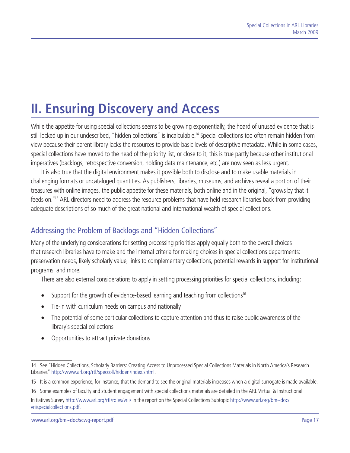# <span id="page-16-0"></span>**II. Ensuring Discovery and Access**

While the appetite for using special collections seems to be growing exponentially, the hoard of unused evidence that is still locked up in our undescribed, "hidden collections" is incalculable.<sup>14</sup> Special collections too often remain hidden from view because their parent library lacks the resources to provide basic levels of descriptive metadata. While in some cases, special collections have moved to the head of the priority list, or close to it, this is true partly because other institutional imperatives (backlogs, retrospective conversion, holding data maintenance, etc.) are now seen as less urgent.

It is also true that the digital environment makes it possible both to disclose and to make usable materials in challenging formats or uncataloged quantities. As publishers, libraries, museums, and archives reveal a portion of their treasures with online images, the public appetite for these materials, both online and in the original, "grows by that it feeds on."15 ARL directors need to address the resource problems that have held research libraries back from providing adequate descriptions of so much of the great national and international wealth of special collections.

# Addressing the Problem of Backlogs and "Hidden Collections"

Many of the underlying considerations for setting processing priorities apply equally both to the overall choices that research libraries have to make and the internal criteria for making choices in special collections departments: preservation needs, likely scholarly value, links to complementary collections, potential rewards in support for institutional programs, and more.

There are also external considerations to apply in setting processing priorities for special collections, including:

- Support for the growth of evidence-based learning and teaching from collections<sup>16</sup>
- Tie-in with curriculum needs on campus and nationally
- The potential of some particular collections to capture attention and thus to raise public awareness of the library's special collections
- Opportunities to attract private donations

<sup>14</sup> See "Hidden Collections, Scholarly Barriers: Creating Access to Unprocessed Special Collections Materials in North America's Research Libraries"<http://www.arl.org/rtl/speccoll/hidden/index.shtml>.

<sup>15</sup> It is a common experience, for instance, that the demand to see the original materials increases when a digital surrogate is made available.

<sup>16</sup> Some examples of faculty and student engagement with special collections materials are detailed in the ARL Virtual & Instructional

Initiatives Survey<http://www.arl.org/rtl/roles/vrii/>in the report on the Special Collections Subtopic [http://www.arl.org/bm~doc/](http://www.arl.org/bm~doc/vriispecialcollections.pdf) [vriispecialcollections.pdf](http://www.arl.org/bm~doc/vriispecialcollections.pdf).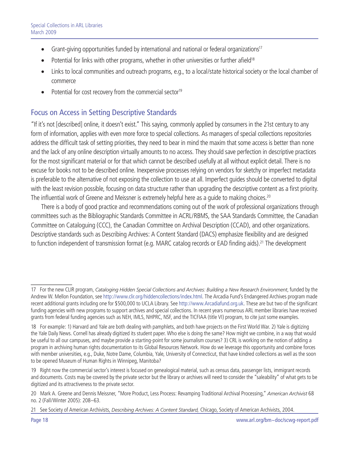- <span id="page-17-0"></span>• Grant-giving opportunities funded by international and national or federal organizations<sup>17</sup>
- Potential for links with other programs, whether in other universities or further afield<sup>18</sup>
- Links to local communities and outreach programs, e.g., to a local/state historical society or the local chamber of commerce
- Potential for cost recovery from the commercial sector<sup>19</sup>

## Focus on Access in Setting Descriptive Standards

"If it's not [described] online, it doesn't exist." This saying, commonly applied by consumers in the 21st century to any form of information, applies with even more force to special collections. As managers of special collections repositories address the difficult task of setting priorities, they need to bear in mind the maxim that some access is better than none and the lack of any online description virtually amounts to no access. They should save perfection in descriptive practices for the most significant material or for that which cannot be described usefully at all without explicit detail. There is no excuse for books not to be described online. Inexpensive processes relying on vendors for sketchy or imperfect metadata is preferable to the alternative of not exposing the collection to use at all. Imperfect guides should be converted to digital with the least revision possible, focusing on data structure rather than upgrading the descriptive content as a first priority. The influential work of Greene and Meissner is extremely helpful here as a quide to making choices.<sup>20</sup>

There is a body of good practice and recommendations coming out of the work of professional organizations through committees such as the Bibliographic Standards Committee in ACRL/RBMS, the SAA Standards Committee, the Canadian Committee on Cataloguing (CCC), the Canadian Committee on Archival Description (CCAD), and other organizations. Descriptive standards such as Describing Archives: A Content Standard (DACS) emphasize flexibility and are designed to function independent of transmission format (e.g. MARC catalog records or EAD finding aids).<sup>21</sup> The development

<sup>17</sup> For the new CLIR program, *Cataloging Hidden Special Collections and Archives: Building a New Research Environment*, funded by the Andrew W. Mellon Foundation, see [http://www.clir.org/hiddencollections/index.html.](http://www.clir.org/hiddencollections/index.html) The Arcadia Fund's Endangered Archives program made recent additional grants including one for \$500,000 to UCLA Library. See<http://www.Arcadiafund.org.uk>. These are but two of the significant funding agencies with new programs to support archives and special collections. In recent years numerous ARL member libraries have received grants from federal funding agencies such as NEH, IMLS, NHPRC, NSF, and the TICFIAA (title VI) program, to cite just some examples.

<sup>18</sup> For example: 1) Harvard and Yale are both dealing with pamphlets, and both have projects on the First World War. 2) Yale is digitizing the Yale Daily News. Cornell has already digitized its student paper. Who else is doing the same? How might we combine, in a way that would be useful to all our campuses, and maybe provide a starting-point for some journalism courses? 3) CRL is working on the notion of adding a program in archiving human rights documentation to its Global Resources Network. How do we leverage this opportunity and combine forces with member universities, e.g., Duke, Notre Dame, Columbia, Yale, University of Connecticut, that have kindred collections as well as the soon to be opened Museum of Human Rights in Winnipeg, Manitoba?

<sup>19</sup> Right now the commercial sector's interest is focused on genealogical material, such as census data, passenger lists, immigrant records and documents. Costs may be covered by the private sector but the library or archives will need to consider the "saleability" of what gets to be digitized and its attractiveness to the private sector.

<sup>20</sup> Mark A. Greene and Dennis Meissner, "More Product, Less Process: Revamping Traditional Archival Processing," *American Archivist* 68 no. 2 (Fall/Winter 2005): 208–63.

<sup>21</sup> See Society of American Archivists, *Describing Archives: A Content Standard,* Chicago, Society of American Archivists, 2004.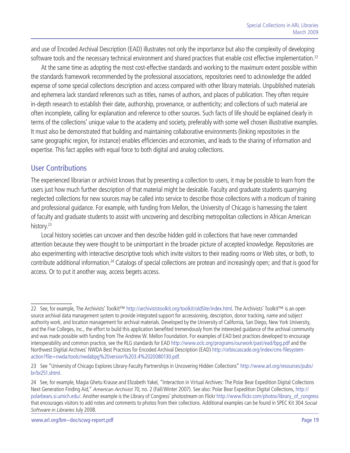<span id="page-18-0"></span>and use of Encoded Archival Description (EAD) illustrates not only the importance but also the complexity of developing software tools and the necessary technical environment and shared practices that enable cost effective implementation.<sup>22</sup>

At the same time as adopting the most cost-effective standards and working to the maximum extent possible within the standards framework recommended by the professional associations, repositories need to acknowledge the added expense of some special collections description and access compared with other library materials. Unpublished materials and ephemera lack standard references such as titles, names of authors, and places of publication. They often require in-depth research to establish their date, authorship, provenance, or authenticity; and collections of such material are often incomplete, calling for explanation and reference to other sources. Such facts of life should be explained clearly in terms of the collections' unique value to the academy and society, preferably with some well chosen illustrative examples. It must also be demonstrated that building and maintaining collaborative environments (linking repositories in the same geographic region, for instance) enables efficiencies and economies, and leads to the sharing of information and expertise. This fact applies with equal force to both digital and analog collections.

### User Contributions

The experienced librarian or archivist knows that by presenting a collection to users, it may be possible to learn from the users just how much further description of that material might be desirable. Faculty and graduate students quarrying neglected collections for new sources may be called into service to describe those collections with a modicum of training and professional guidance. For example, with funding from Mellon, the University of Chicago is harnessing the talent of faculty and graduate students to assist with uncovering and describing metropolitan collections in African American history.<sup>23</sup>

Local history societies can uncover and then describe hidden gold in collections that have never commanded attention because they were thought to be unimportant in the broader picture of accepted knowledge. Repositories are also experimenting with interactive descriptive tools which invite visitors to their reading rooms or Web sites, or both, to contribute additional information.24 Catalogs of special collections are protean and increasingly open; and that is good for access. Or to put it another way, access begets access.

<sup>22</sup> See, for example, The Archivists' Toolkit™<http://archiviststoolkit.org/toolkit/oldSite/index.html>. The Archivists' Toolkit™ is an open source archival data management system to provide integrated support for accessioning, description, donor tracking, name and subject authority work, and location management for archival materials. Developed by the University of California, San Diego, New York University, and the Five Colleges, Inc., the effort to build this application benefited tremendously from the interested guidance of the archival community and was made possible with funding from The Andrew W. Mellon Foundation. For examples of EAD best practices developed to encourage interoperability and common practice, see the RLG standards for EAD <http://www.oclc.org/programs/ourwork/past/ead/bpg.pdf> and the Northwest Digitial Archives' NWDA Best Practices for Encoded Archival Description (EAD) [http://orbiscascade.org/index/cms-filesystem](http://orbiscascade.org/index/cms-filesystem-action?file=nwda/tools/nwdabpg%20version%203.4%2020080130.pdf)[action?file=nwda/tools/nwdabpg%20version%203.4%2020080130.pdf](http://orbiscascade.org/index/cms-filesystem-action?file=nwda/tools/nwdabpg%20version%203.4%2020080130.pdf).

<sup>23</sup> See "University of Chicago Explores Library-Faculty Partnerships in Uncovering Hidden Collections" [http://www.arl.org/resources/pubs/](http://www.arl.org/resources/pubs/br/br251.shtml) [br/br251.shtml](http://www.arl.org/resources/pubs/br/br251.shtml).

<sup>24</sup> See, for example, Magia Ghetu Krause and Elizabeth Yakel, "Interaction in Virtual Archives: The Polar Bear Expedition Digital Collections Next Generation Finding Aid," *American Archivist* 70, no. 2 (Fall/Winter 2007). See also: Polar Bear Expedition Digital Collections, [http://](http://polarbears.si.umich.edu/) [polarbears.si.umich.edu/](http://polarbears.si.umich.edu/). Another example is the Library of Congress' photostream on Flickr [http://www.flickr.com/photos/library\\_of\\_congress](http://www.flickr.com/photos/library_of_congress)  that encourages visitors to add notes and comments to photos from their collections. Additional examples can be found in SPEC Kit 304 *Social Software in Libraries* July 2008.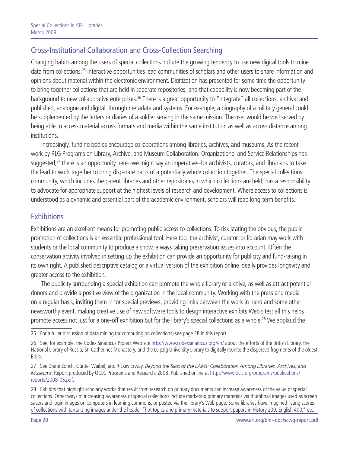# <span id="page-19-0"></span>Cross-Institutional Collaboration and Cross-Collection Searching

Changing habits among the users of special collections include the growing tendency to use new digital tools to mine data from collections.25 Interactive opportunities lead communities of scholars and other users to share information and opinions about material within the electronic environment. Digitization has presented for some time the opportunity to bring together collections that are held in separate repositories, and that capability is now becoming part of the background to new collaborative enterprises.<sup>26</sup> There is a great opportunity to "integrate" all collections, archival and published, analogue and digital, through metadata and systems. For example, a biography of a military general could be supplemented by the letters or diaries of a soldier serving in the same mission. The user would be well served by being able to access material across formats and media within the same institution as well as across distance among institutions.

Increasingly, funding bodies encourage collaborations among libraries, archives, and museums. As the recent work by RLG Programs on Library, Archive, and Museum Collaboration: Organizational and Service Relationships has suggested,<sup>27</sup> there is an opportunity here--we might say an imperative--for archivists, curators, and librarians to take the lead to work together to bring disparate parts of a potentially whole collection together. The special collections community, which includes the parent libraries and other repositories in which collections are held, has a responsibility to advocate for appropriate support at the highest levels of research and development. Where access to collections is understood as a dynamic and essential part of the academic environment, scholars will reap long-term benefits.

### **Exhibitions**

Exhibitions are an excellent means for promoting public access to collections. To risk stating the obvious, the public promotion of collections is an essential professional tool. Here too, the archivist, curator, or librarian may work with students or the local community to produce a show, always taking preservation issues into account. Often the conservation activity involved in setting up the exhibition can provide an opportunity for publicity and fund-raising in its own right. A published descriptive catalog or a virtual version of the exhibition online ideally provides longevity and greater access to the exhibition.

The publicity surrounding a special exhibition can promote the whole library or archive, as well as attract potential donors and provide a positive view of the organization in the local community. Working with the press and media on a regular basis, inviting them in for special previews, providing links between the work in hand and some other newsworthy event, making creative use of new software tools to design interactive exhibits Web sites: all this helps promote access not just for a one-off exhibition but for the library's special collections as a whole.28 We applaud the

<sup>25</sup> For a fuller discussion of data mining (or computing on collections) see page 28 in this report.

<sup>26</sup> See, for example, the Codex Sinaiticus Project Web site<http://www.codexsinaiticus.org/en/>about the efforts of the British Library, the National Library of Russia, St. Catherines Monastery, and the Leipzig University Library to digitally reunite the dispersed fragments of the oldest Bible.

<sup>27</sup> See Diane Zorich, Günter Waibel, and Rickey Erway, *Beyond the Silos of the LAMs: Collaboration Among Libraries, Archives, and Museums*, Report produced by OCLC Programs and Research, 2008. Published online at [http://www.oclc.org/programs/publications/](http://www.oclc.org/programs/publications/reports/2008-05.pdf) [reports/2008-05.pdf](http://www.oclc.org/programs/publications/reports/2008-05.pdf).

<sup>28</sup> Exhibits that highlight scholarly works that result from research on primary documents can increase awareness of the value of special collections. Other ways of increasing awareness of special collections include marketing primary materials via thumbnail images used as screen savers and login images on computers in learning commons, or posted via the library's Web page. Some libraries have imagined listing scores of collections with tantalizing images under the header "hot topics and primary materials to support papers in History 200, English 400," etc.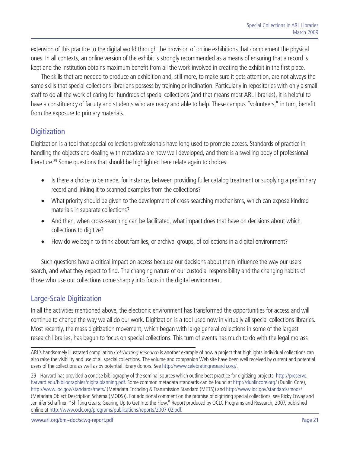<span id="page-20-0"></span>extension of this practice to the digital world through the provision of online exhibitions that complement the physical ones. In all contexts, an online version of the exhibit is strongly recommended as a means of ensuring that a record is kept and the institution obtains maximum benefit from all the work involved in creating the exhibit in the first place.

The skills that are needed to produce an exhibition and, still more, to make sure it gets attention, are not always the same skills that special collections librarians possess by training or inclination. Particularly in repositories with only a small staff to do all the work of caring for hundreds of special collections (and that means most ARL libraries), it is helpful to have a constituency of faculty and students who are ready and able to help. These campus "volunteers," in turn, benefit from the exposure to primary materials.

## **Digitization**

Digitization is a tool that special collections professionals have long used to promote access. Standards of practice in handling the objects and dealing with metadata are now well developed, and there is a swelling body of professional literature.<sup>29</sup> Some questions that should be highlighted here relate again to choices.

- Is there a choice to be made, for instance, between providing fuller catalog treatment or supplying a preliminary record and linking it to scanned examples from the collections?
- What priority should be given to the development of cross-searching mechanisms, which can expose kindred materials in separate collections?
- And then, when cross-searching can be facilitated, what impact does that have on decisions about which collections to digitize?
- How do we begin to think about families, or archival groups, of collections in a digital environment?

Such questions have a critical impact on access because our decisions about them influence the way our users search, and what they expect to find. The changing nature of our custodial responsibility and the changing habits of those who use our collections come sharply into focus in the digital environment.

## Large-Scale Digitization

In all the activities mentioned above, the electronic environment has transformed the opportunities for access and will continue to change the way we all do our work. Digitization is a tool used now in virtually all special collections libraries. Most recently, the mass digitization movement, which began with large general collections in some of the largest research libraries, has begun to focus on special collections. This turn of events has much to do with the legal morass

ARL's handsomely illustrated compilation *Celebrating Research* is another example of how a project that highlights individual collections can also raise the visibility and use of all special collections. The volume and companion Web site have been well received by current and potential users of the collections as well as by potential library donors. See [http://www.celebratingresearch.org/.](http://www.celebratingresearch.org/)

29 Harvard has provided a concise bibliography of the seminal sources which outline best practice for digitizing projects, [http://preserve.](http://preserve.harvard.edu/bibliographies/digitalplanning.pdf) [harvard.edu/bibliographies/digitalplanning.pdf.](http://preserve.harvard.edu/bibliographies/digitalplanning.pdf) Some common metadata standards can be found at<http://dublincore.org/> (Dublin Core), <http://www.loc.gov/standards/mets/>(Metadata Encoding & Transmission Standard (METS)) and <http://www.loc.gov/standards/mods/> (Metadata Object Description Schema (MODS)). For additional comment on the promise of digitizing special collections, see Ricky Erway and Jennifer Schaffner, "Shifting Gears: Gearing Up to Get Into the Flow." Report produced by OCLC Programs and Research, 2007, published online at [http://www.oclc.org/programs/publications/reports/2007-02.pdf.](http://www.oclc.org/programs/publications/reports/2007-02.pdf)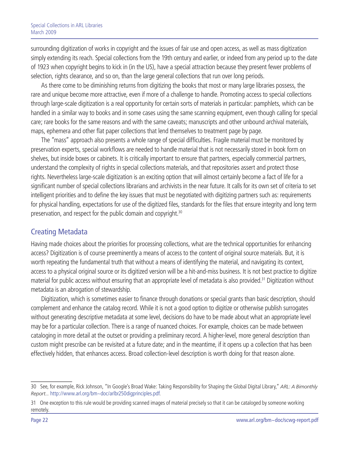<span id="page-21-0"></span>surrounding digitization of works in copyright and the issues of fair use and open access, as well as mass digitization simply extending its reach. Special collections from the 19th century and earlier, or indeed from any period up to the date of 1923 when copyright begins to kick in (in the US), have a special attraction because they present fewer problems of selection, rights clearance, and so on, than the large general collections that run over long periods.

As there come to be diminishing returns from digitizing the books that most or many large libraries possess, the rare and unique become more attractive, even if more of a challenge to handle. Promoting access to special collections through large-scale digitization is a real opportunity for certain sorts of materials in particular: pamphlets, which can be handled in a similar way to books and in some cases using the same scanning equipment, even though calling for special care; rare books for the same reasons and with the same caveats; manuscripts and other unbound archival materials, maps, ephemera and other flat paper collections that lend themselves to treatment page by page.

The "mass" approach also presents a whole range of special difficulties. Fragile material must be monitored by preservation experts, special workflows are needed to handle material that is not necessarily stored in book form on shelves, but inside boxes or cabinets. It is critically important to ensure that partners, especially commercial partners, understand the complexity of rights in special collections materials, and that repositories assert and protect those rights. Nevertheless large-scale digitization is an exciting option that will almost certainly become a fact of life for a significant number of special collections librarians and archivists in the near future. It calls for its own set of criteria to set intelligent priorities and to define the key issues that must be negotiated with digitizing partners such as: requirements for physical handling, expectations for use of the digitized files, standards for the files that ensure integrity and long term preservation, and respect for the public domain and copyright.30

## Creating Metadata

Having made choices about the priorities for processing collections, what are the technical opportunities for enhancing access? Digitization is of course preeminently a means of access to the content of original source materials. But, it is worth repeating the fundamental truth that without a means of identifying the material, and navigating its context, access to a physical original source or its digitized version will be a hit-and-miss business. It is not best practice to digitize material for public access without ensuring that an appropriate level of metadata is also provided.31 Digitization without metadata is an abrogation of stewardship.

Digitization, which is sometimes easier to finance through donations or special grants than basic description, should complement and enhance the catalog record. While it is not a good option to digitize or otherwise publish surrogates without generating descriptive metadata at some level, decisions do have to be made about what an appropriate level may be for a particular collection. There is a range of nuanced choices. For example, choices can be made between cataloging in more detail at the outset or providing a preliminary record. A higher-level, more general description than custom might prescribe can be revisited at a future date; and in the meantime, if it opens up a collection that has been effectively hidden, that enhances access. Broad collection-level description is worth doing for that reason alone.

<sup>30</sup> See, for example, Rick Johnson, "In Google's Broad Wake: Taking Responsibility for Shaping the Global Digital Library," *ARL: A Bimonthly Report...* <http://www.arl.org/bm~doc/arlbr250digprinciples.pdf>*.*

<sup>31</sup> One exception to this rule would be providing scanned images of material precisely so that it can be cataloged by someone working remotely.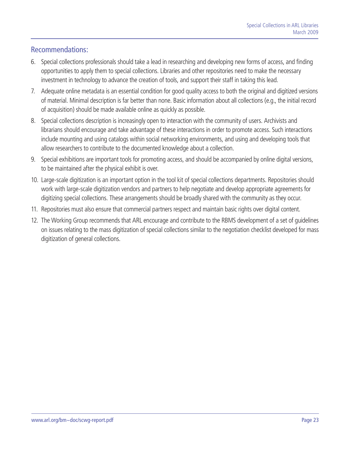## <span id="page-22-0"></span>Recommendations:

- 6. Special collections professionals should take a lead in researching and developing new forms of access, and finding opportunities to apply them to special collections. Libraries and other repositories need to make the necessary investment in technology to advance the creation of tools, and support their staff in taking this lead.
- 7. Adequate online metadata is an essential condition for good quality access to both the original and digitized versions of material. Minimal description is far better than none. Basic information about all collections (e.g., the initial record of acquisition) should be made available online as quickly as possible.
- 8. Special collections description is increasingly open to interaction with the community of users. Archivists and librarians should encourage and take advantage of these interactions in order to promote access. Such interactions include mounting and using catalogs within social networking environments, and using and developing tools that allow researchers to contribute to the documented knowledge about a collection.
- 9. Special exhibitions are important tools for promoting access, and should be accompanied by online digital versions, to be maintained after the physical exhibit is over.
- 10. Large-scale digitization is an important option in the tool kit of special collections departments. Repositories should work with large-scale digitization vendors and partners to help negotiate and develop appropriate agreements for digitizing special collections. These arrangements should be broadly shared with the community as they occur.
- 11. Repositories must also ensure that commercial partners respect and maintain basic rights over digital content.
- 12. The Working Group recommends that ARL encourage and contribute to the RBMS development of a set of guidelines on issues relating to the mass digitization of special collections similar to the negotiation checklist developed for mass digitization of general collections.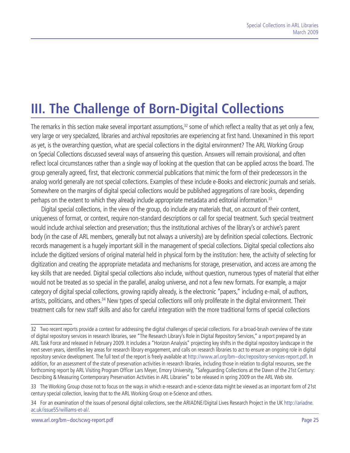# <span id="page-24-0"></span>**III. The Challenge of Born-Digital Collections**

The remarks in this section make several important assumptions,<sup>32</sup> some of which reflect a reality that as yet only a few, very large or very specialized, libraries and archival repositories are experiencing at first hand. Unexamined in this report as yet, is the overarching question, what are special collections in the digital environment? The ARL Working Group on Special Collections discussed several ways of answering this question. Answers will remain provisional, and often reflect local circumstances rather than a single way of looking at the question that can be applied across the board. The group generally agreed, first, that electronic commercial publications that mimic the form of their predecessors in the analog world generally are not special collections. Examples of these include e-Books and electronic journals and serials. Somewhere on the margins of digital special collections would be published aggregations of rare books, depending perhaps on the extent to which they already include appropriate metadata and editorial information.<sup>33</sup>

Digital special collections, in the view of the group, do include any materials that, on account of their content, uniqueness of format, or context, require non-standard descriptions or call for special treatment. Such special treatment would include archival selection and preservation; thus the institutional archives of the library's or archive's parent body (in the case of ARL members, generally but not always a university) are by definition special collections. Electronic records management is a hugely important skill in the management of special collections. Digital special collections also include the digitized versions of original material held in physical form by the institution: here, the activity of selecting for digitization and creating the appropriate metadata and mechanisms for storage, preservation, and access are among the key skills that are needed. Digital special collections also include, without question, numerous types of material that either would not be treated as so special in the parallel, analog universe, and not a few new formats. For example, a major category of digital special collections, growing rapidly already, is the electronic "papers," including e-mail, of authors, artists, politicians, and others.<sup>34</sup> New types of special collections will only proliferate in the digital environment. Their treatment calls for new staff skills and also for careful integration with the more traditional forms of special collections

<sup>32</sup> Two recent reports provide a context for addressing the digital challenges of special collections. For a broad-brush overview of the state of digital repository services in research libraries, see "The Research Library's Role in Digital Repository Services," a report prepared by an ARL Task Force and released in February 2009. It includes a "Horizon Analysis" projecting key shifts in the digital repository landscape in the next seven years, identifies key areas for research library engagement, and calls on research libraries to act to ensure an ongoing role in digital repository service development. The full text of the report is freely available at <http://www.arl.org/bm~doc/repository-services-report.pdf>. In addition, for an assessment of the state of preservation activities in research libraries, including those in relation to digital resources, see the forthcoming report by ARL Visiting Program Officer Lars Meyer, Emory University, "Safeguarding Collections at the Dawn of the 21st Century: Describing & Measuring Contemporary Preservation Activities in ARL Libraries" to be released in spring 2009 on the ARL Web site.

<sup>33</sup> The Working Group chose not to focus on the ways in which e-research and e-science data might be viewed as an important form of 21st century special collection, leaving that to the ARL Working Group on e-Science and others.

<sup>34</sup> For an examination of the issues of personal digital collections, see the ARIADNE/Digital Lives Research Project in the UK [http://ariadne.](http://ariadne.ac.uk/issue55/williams-et-al/) [ac.uk/issue55/williams-et-al/.](http://ariadne.ac.uk/issue55/williams-et-al/)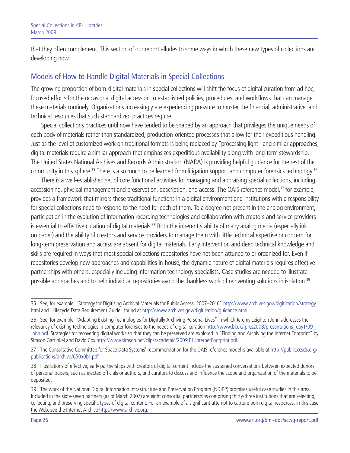<span id="page-25-0"></span>that they often complement. This section of our report alludes to some ways in which these new types of collections are developing now.

# Models of How to Handle Digital Materials in Special Collections

The growing proportion of born-digital materials in special collections will shift the focus of digital curation from ad hoc, focused efforts for the occasional digital accession to established policies, procedures, and workflows that can manage these materials routinely. Organizations increasingly are experiencing pressure to muster the financial, administrative, and technical resources that such standardized practices require.

Special collections practices until now have tended to be shaped by an approach that privileges the unique needs of each body of materials rather than standardized, production-oriented processes that allow for their expeditious handling. Just as the level of customized work on traditional formats is being replaced by "processing light" and similar approaches, digital materials require a similar approach that emphasizes expeditious availability along with long-term stewardship. The United States National Archives and Records Administration (NARA) is providing helpful guidance for the rest of the community in this sphere.<sup>35</sup> There is also much to be learned from litigation support and computer forensics technology.<sup>36</sup>

There is a well-established set of core functional activities for managing and appraising special collections, including accessioning, physical management and preservation, description, and access. The OAIS reference model,<sup>37</sup> for example, provides a framework that mirrors these traditional functions in a digital environment and institutions with a responsibility for special collections need to respond to the need for each of them. To a degree not present in the analog environment, participation in the evolution of information recording technologies and collaboration with creators and service providers is essential to effective curation of digital materials.<sup>38</sup> Both the inherent stability of many analog media (especially ink on paper) and the ability of creators and service providers to manage them with little technical expertise or concern for long-term preservation and access are absent for digital materials. Early intervention and deep technical knowledge and skills are required in ways that most special collections repositories have not been attuned to or organized for. Even if repositories develop new approaches and capabilities in-house, the dynamic nature of digital materials requires effective partnerships with others, especially including information technology specialists. Case studies are needed to illustrate possible approaches and to help individual repositories avoid the thankless work of reinventing solutions in isolation.<sup>39</sup>

<sup>35</sup> See, for example, "Strategy for Digitizing Archival Materials for Public Access, 2007–2016" [http://www.archives.gov/digitization/strategy.](http://www.archives.gov/digitization/strategy.html) [html](http://www.archives.gov/digitization/strategy.html) and "Lifecycle Data Requirement Guide" found at [http://www.archives.gov/digitization/guidance.html.](http://www.archives.gov/digitization/guidance.html)

<sup>36</sup> See, for example, "Adapting Existing Technologies for Digitally Archiving Personal Lives" in which Jeremy Leighton John addresses the relevancy of existing technologies in computer forensics to the needs of digital curation [http://www.bl.uk/ipres2008/presentations\\_day1/09\\_](http://www.bl.uk/ipres2008/presentations_day1/09_John.pdf) [John.pdf](http://www.bl.uk/ipres2008/presentations_day1/09_John.pdf). Strategies for recovering digital works so that they can be preserved are explored in "Finding and Archiving the Internet Footprint" by Simson Garfinkel and David Cox<http://www.simson.net/clips/academic/2009.BL.InternetFootprint.pdf>.

<sup>37</sup> The Consultative Committee for Space Data Systems' recommendation for the OAIS reference model is available at [http://public.ccsds.org/](http://public.ccsds.org/publications/archive/650x0b1.pdf) [publications/archive/650x0b1.pdf](http://public.ccsds.org/publications/archive/650x0b1.pdf).

<sup>38</sup> Illustrations of effective, early partnerships with creators of digital content include the sustained conversations between expected donors of personal papers, such as elected officials or authors, and curators to discuss and influence the scope and organization of the materials to be deposited.

<sup>39</sup> The work of the National Digital Information Infrastructure and Preservation Program (NDIPP) promises useful case studies in this area. Included in the sixty-seven partners (as of March 2007) are eight consortial partnerships comprising thirty-three institutions that are selecting, collecting, and preserving specific types of digital content. For an example of a significant attempt to capture born digital resources, in this case the Web, see the Internet Archive <http://www.archive.org>.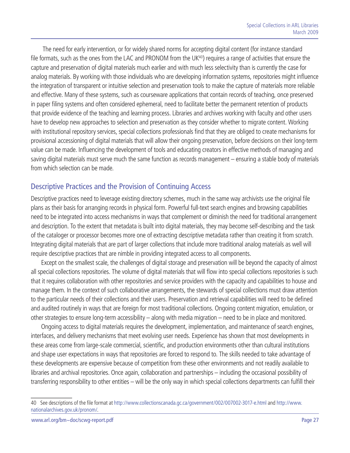<span id="page-26-0"></span> The need for early intervention, or for widely shared norms for accepting digital content (for instance standard file formats, such as the ones from the LAC and PRONOM from the UK<sup>40</sup>) requires a range of activities that ensure the capture and preservation of digital materials much earlier and with much less selectivity than is currently the case for analog materials. By working with those individuals who are developing information systems, repositories might influence the integration of transparent or intuitive selection and preservation tools to make the capture of materials more reliable and effective. Many of these systems, such as courseware applications that contain records of teaching, once preserved in paper filing systems and often considered ephemeral, need to facilitate better the permanent retention of products that provide evidence of the teaching and learning process. Libraries and archives working with faculty and other users have to develop new approaches to selection and preservation as they consider whether to migrate content. Working with institutional repository services, special collections professionals find that they are obliged to create mechanisms for provisional accessioning of digital materials that will allow their ongoing preservation, before decisions on their long-term value can be made. Influencing the development of tools and educating creators in effective methods of managing and saving digital materials must serve much the same function as records management – ensuring a stable body of materials from which selection can be made.

## Descriptive Practices and the Provision of Continuing Access

Descriptive practices need to leverage existing directory schemes, much in the same way archivists use the original file plans as their basis for arranging records in physical form. Powerful full-text search engines and browsing capabilities need to be integrated into access mechanisms in ways that complement or diminish the need for traditional arrangement and description. To the extent that metadata is built into digital materials, they may become self-describing and the task of the cataloger or processor becomes more one of extracting descriptive metadata rather than creating it from scratch. Integrating digital materials that are part of larger collections that include more traditional analog materials as well will require descriptive practices that are nimble in providing integrated access to all components.

Except on the smallest scale, the challenges of digital storage and preservation will be beyond the capacity of almost all special collections repositories. The volume of digital materials that will flow into special collections repositories is such that it requires collaboration with other repositories and service providers with the capacity and capabilities to house and manage them. In the context of such collaborative arrangements, the stewards of special collections must draw attention to the particular needs of their collections and their users. Preservation and retrieval capabilities will need to be defined and audited routinely in ways that are foreign for most traditional collections. Ongoing content migration, emulation, or other strategies to ensure long-term accessibility – along with media migration – need to be in place and monitored.

Ongoing access to digital materials requires the development, implementation, and maintenance of search engines, interfaces, and delivery mechanisms that meet evolving user needs. Experience has shown that most developments in these areas come from large-scale commercial, scientific, and production environments other than cultural institutions and shape user expectations in ways that repositories are forced to respond to. The skills needed to take advantage of these developments are expensive because of competition from these other environments and not readily available to libraries and archival repositories. Once again, collaboration and partnerships – including the occasional possibility of transferring responsibility to other entities – will be the only way in which special collections departments can fulfill their

<sup>40</sup> See descriptions of the file format at <http://www.collectionscanada.gc.ca/government/002/007002-3017-e.html> and [http://www.](http://www.nationalarchives.gov.uk/pronom/) [nationalarchives.gov.uk/pronom/.](http://www.nationalarchives.gov.uk/pronom/)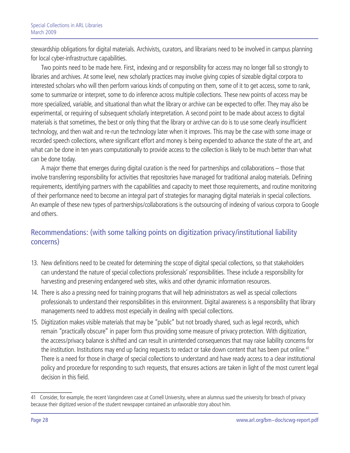<span id="page-27-0"></span>stewardship obligations for digital materials. Archivists, curators, and librarians need to be involved in campus planning for local cyber-infrastructure capabilities.

Two points need to be made here. First, indexing and or responsibility for access may no longer fall so strongly to libraries and archives. At some level, new scholarly practices may involve giving copies of sizeable digital corpora to interested scholars who will then perform various kinds of computing on them, some of it to get access, some to rank, some to summarize or interpret, some to do inference across multiple collections. These new points of access may be more specialized, variable, and situational than what the library or archive can be expected to offer. They may also be experimental, or requiring of subsequent scholarly interpretation. A second point to be made about access to digital materials is that sometimes, the best or only thing that the library or archive can do is to use some clearly insufficient technology, and then wait and re-run the technology later when it improves. This may be the case with some image or recorded speech collections, where significant effort and money is being expended to advance the state of the art, and what can be done in ten years computationally to provide access to the collection is likely to be much better than what can be done today.

A major theme that emerges during digital curation is the need for partnerships and collaborations – those that involve transferring responsibility for activities that repositories have managed for traditional analog materials. Defining requirements, identifying partners with the capabilities and capacity to meet those requirements, and routine monitoring of their performance need to become an integral part of strategies for managing digital materials in special collections. An example of these new types of partnerships/collaborations is the outsourcing of indexing of various corpora to Google and others.

# Recommendations: (with some talking points on digitization privacy/institutional liability concerns)

- 13. New definitions need to be created for determining the scope of digital special collections, so that stakeholders can understand the nature of special collections professionals' responsibilities. These include a responsibility for harvesting and preserving endangered web sites, wikis and other dynamic information resources.
- 14. There is also a pressing need for training programs that will help administrators as well as special collections professionals to understand their responsibilities in this environment. Digital awareness is a responsibility that library managements need to address most especially in dealing with special collections.
- 15. Digitization makes visible materials that may be "public" but not broadly shared, such as legal records, which remain "practically obscure" in paper form thus providing some measure of privacy protection. With digitization, the access/privacy balance is shifted and can result in unintended consequences that may raise liability concerns for the institution. Institutions may end up facing requests to redact or take down content that has been put online.<sup>41</sup> There is a need for those in charge of special collections to understand and have ready access to a clear institutional policy and procedure for responding to such requests, that ensures actions are taken in light of the most current legal decision in this field.

<sup>41</sup> Consider, for example, the recent Vanginderen case at Cornell University, where an alumnus sued the university for breach of privacy because their digitized version of the student newspaper contained an unfavorable story about him.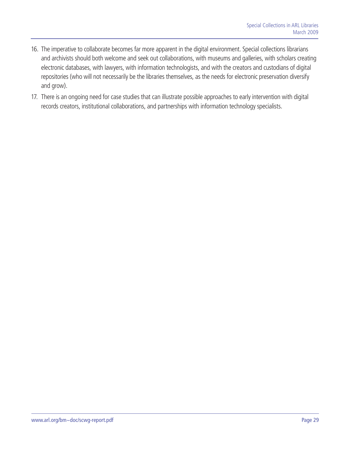- 16. The imperative to collaborate becomes far more apparent in the digital environment. Special collections librarians and archivists should both welcome and seek out collaborations, with museums and galleries, with scholars creating electronic databases, with lawyers, with information technologists, and with the creators and custodians of digital repositories (who will not necessarily be the libraries themselves, as the needs for electronic preservation diversify and grow).
- 17. There is an ongoing need for case studies that can illustrate possible approaches to early intervention with digital records creators, institutional collaborations, and partnerships with information technology specialists.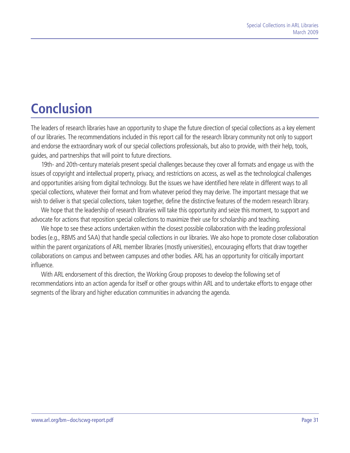# <span id="page-30-0"></span>**Conclusion**

The leaders of research libraries have an opportunity to shape the future direction of special collections as a key element of our libraries. The recommendations included in this report call for the research library community not only to support and endorse the extraordinary work of our special collections professionals, but also to provide, with their help, tools, guides, and partnerships that will point to future directions.

19th- and 20th-century materials present special challenges because they cover all formats and engage us with the issues of copyright and intellectual property, privacy, and restrictions on access, as well as the technological challenges and opportunities arising from digital technology. But the issues we have identified here relate in different ways to all special collections, whatever their format and from whatever period they may derive. The important message that we wish to deliver is that special collections, taken together, define the distinctive features of the modern research library.

We hope that the leadership of research libraries will take this opportunity and seize this moment, to support and advocate for actions that reposition special collections to maximize their use for scholarship and teaching.

We hope to see these actions undertaken within the closest possible collaboration with the leading professional bodies (e.g., RBMS and SAA) that handle special collections in our libraries. We also hope to promote closer collaboration within the parent organizations of ARL member libraries (mostly universities), encouraging efforts that draw together collaborations on campus and between campuses and other bodies. ARL has an opportunity for critically important influence.

With ARL endorsement of this direction, the Working Group proposes to develop the following set of recommendations into an action agenda for itself or other groups within ARL and to undertake efforts to engage other segments of the library and higher education communities in advancing the agenda.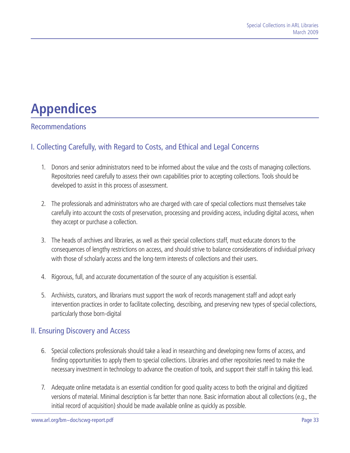# <span id="page-32-0"></span>**Appendices**

# Recommendations

# I. Collecting Carefully, with Regard to Costs, and Ethical and Legal Concerns

- 1. Donors and senior administrators need to be informed about the value and the costs of managing collections. Repositories need carefully to assess their own capabilities prior to accepting collections. Tools should be developed to assist in this process of assessment.
- 2. The professionals and administrators who are charged with care of special collections must themselves take carefully into account the costs of preservation, processing and providing access, including digital access, when they accept or purchase a collection.
- 3. The heads of archives and libraries, as well as their special collections staff, must educate donors to the consequences of lengthy restrictions on access, and should strive to balance considerations of individual privacy with those of scholarly access and the long-term interests of collections and their users.
- 4. Rigorous, full, and accurate documentation of the source of any acquisition is essential.
- 5. Archivists, curators, and librarians must support the work of records management staff and adopt early intervention practices in order to facilitate collecting, describing, and preserving new types of special collections, particularly those born-digital

### II. Ensuring Discovery and Access

- 6. Special collections professionals should take a lead in researching and developing new forms of access, and finding opportunities to apply them to special collections. Libraries and other repositories need to make the necessary investment in technology to advance the creation of tools, and support their staff in taking this lead.
- 7. Adequate online metadata is an essential condition for good quality access to both the original and digitized versions of material. Minimal description is far better than none. Basic information about all collections (e.g., the initial record of acquisition) should be made available online as quickly as possible.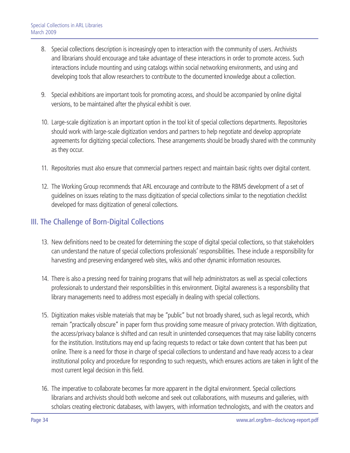- <span id="page-33-0"></span>8. Special collections description is increasingly open to interaction with the community of users. Archivists and librarians should encourage and take advantage of these interactions in order to promote access. Such interactions include mounting and using catalogs within social networking environments, and using and developing tools that allow researchers to contribute to the documented knowledge about a collection.
- 9. Special exhibitions are important tools for promoting access, and should be accompanied by online digital versions, to be maintained after the physical exhibit is over.
- 10. Large-scale digitization is an important option in the tool kit of special collections departments. Repositories should work with large-scale digitization vendors and partners to help negotiate and develop appropriate agreements for digitizing special collections. These arrangements should be broadly shared with the community as they occur.
- 11. Repositories must also ensure that commercial partners respect and maintain basic rights over digital content.
- 12. The Working Group recommends that ARL encourage and contribute to the RBMS development of a set of guidelines on issues relating to the mass digitization of special collections similar to the negotiation checklist developed for mass digitization of general collections.

## III. The Challenge of Born-Digital Collections

- 13. New definitions need to be created for determining the scope of digital special collections, so that stakeholders can understand the nature of special collections professionals' responsibilities. These include a responsibility for harvesting and preserving endangered web sites, wikis and other dynamic information resources.
- 14. There is also a pressing need for training programs that will help administrators as well as special collections professionals to understand their responsibilities in this environment. Digital awareness is a responsibility that library managements need to address most especially in dealing with special collections.
- 15. Digitization makes visible materials that may be "public" but not broadly shared, such as legal records, which remain "practically obscure" in paper form thus providing some measure of privacy protection. With digitization, the access/privacy balance is shifted and can result in unintended consequences that may raise liability concerns for the institution. Institutions may end up facing requests to redact or take down content that has been put online. There is a need for those in charge of special collections to understand and have ready access to a clear institutional policy and procedure for responding to such requests, which ensures actions are taken in light of the most current legal decision in this field.
- 16. The imperative to collaborate becomes far more apparent in the digital environment. Special collections librarians and archivists should both welcome and seek out collaborations, with museums and galleries, with scholars creating electronic databases, with lawyers, with information technologists, and with the creators and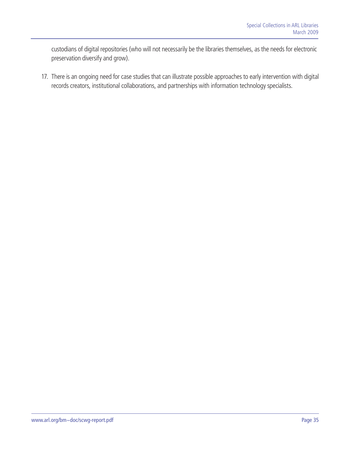custodians of digital repositories (who will not necessarily be the libraries themselves, as the needs for electronic preservation diversify and grow).

17. There is an ongoing need for case studies that can illustrate possible approaches to early intervention with digital records creators, institutional collaborations, and partnerships with information technology specialists.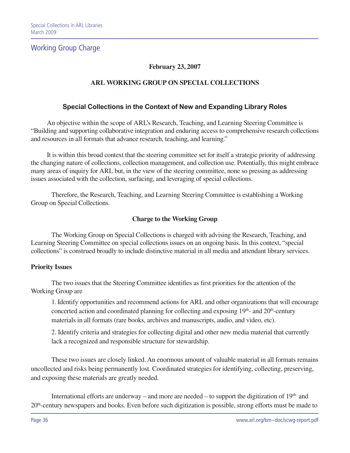## Working Group Charge

#### **February 23, 2007**

#### **ARL WORKING GROUP ON SPECIAL COLLECTIONS**

#### **Special Collections in the Context of New and Expanding Library Roles**

An objective within the scope of ARL's Research, Teaching, and Learning Steering Committee is "Building and supporting collaborative integration and enduring access to comprehensive research collections and resources in all formats that advance research, teaching, and learning."

It is within this broad context that the steering committee set for itself a strategic priority of addressing the changing nature of collections, collection management, and collection use. Potentially, this might embrace many areas of inquiry for ARL but, in the view of the steering committee, none so pressing as addressing issues associated with the collection, surfacing, and leveraging of special collections.

Therefore, the Research, Teaching, and Learning Steering Committee is establishing a Working Group on Special Collections.

#### **Charge to the Working Group**

The Working Group on Special Collections is charged with advising the Research, Teaching, and Learning Steering Committee on special collections issues on an ongoing basis. In this context, "special collections" is construed broadly to include distinctive material in all media and attendant library services.

#### **Priority Issues**

The two issues that the Steering Committee identifies as first priorities for the attention of the Working Group are

1. Identify opportunities and recommend actions for ARL and other organizations that will encourage concerted action and coordinated planning for collecting and exposing  $19<sup>th</sup>$ - and  $20<sup>th</sup>$ -century materials in all formats (rare books, archives and manuscripts, audio, and video, etc).

2. Identify criteria and strategies for collecting digital and other new media material that currently lack a recognized and responsible structure for stewardship.

These two issues are closely linked. An enormous amount of valuable material in all formats remains uncollected and risks being permanently lost. Coordinated strategies for identifying, collecting, preserving, and exposing these materials are greatly needed.

International efforts are underway – and more are needed – to support the digitization of  $19<sup>th</sup>$  and 20th-century newspapers and books. Even before such digitization is possible, strong efforts must be made to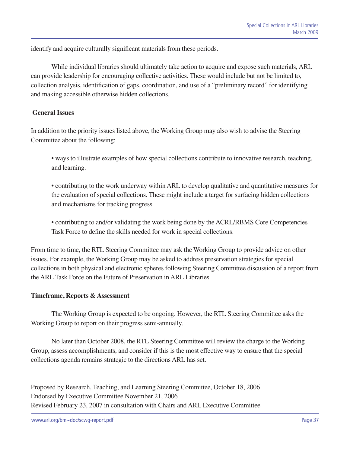identify and acquire culturally significant materials from these periods.

While individual libraries should ultimately take action to acquire and expose such materials, ARL can provide leadership for encouraging collective activities. These would include but not be limited to, collection analysis, identification of gaps, coordination, and use of a "preliminary record" for identifying and making accessible otherwise hidden collections.

#### **General Issues**

In addition to the priority issues listed above, the Working Group may also wish to advise the Steering Committee about the following:

• ways to illustrate examples of how special collections contribute to innovative research, teaching, and learning.

• contributing to the work underway within ARL to develop qualitative and quantitative measures for the evaluation of special collections. These might include a target for surfacing hidden collections and mechanisms for tracking progress.

• contributing to and/or validating the work being done by the ACRL/RBMS Core Competencies Task Force to define the skills needed for work in special collections.

From time to time, the RTL Steering Committee may ask the Working Group to provide advice on other issues. For example, the Working Group may be asked to address preservation strategies for special collections in both physical and electronic spheres following Steering Committee discussion of a report from the ARL Task Force on the Future of Preservation in ARL Libraries.

#### **Timeframe, Reports & Assessment**

The Working Group is expected to be ongoing. However, the RTL Steering Committee asks the Working Group to report on their progress semi-annually.

No later than October 2008, the RTL Steering Committee will review the charge to the Working Group, assess accomplishments, and consider if this is the most effective way to ensure that the special collections agenda remains strategic to the directions ARL has set.

Proposed by Research, Teaching, and Learning Steering Committee, October 18, 2006 Endorsed by Executive Committee November 21, 2006 Revised February 23, 2007 in consultation with Chairs and ARL Executive Committee